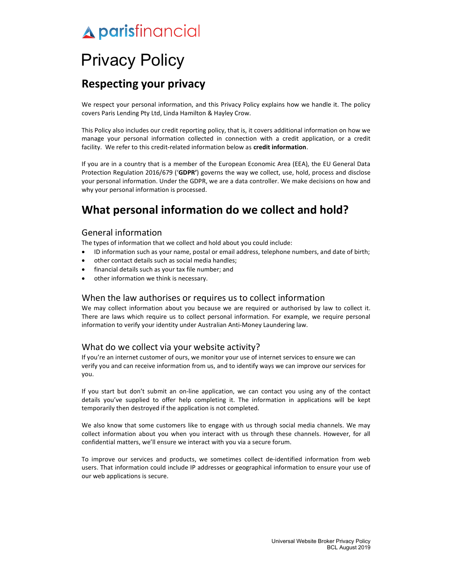# Privacy Policy

# Respecting your privacy

We respect your personal information, and this Privacy Policy explains how we handle it. The policy covers Paris Lending Pty Ltd, Linda Hamilton & Hayley Crow.

This Policy also includes our credit reporting policy, that is, it covers additional information on how we manage your personal information collected in connection with a credit application, or a credit facility. We refer to this credit-related information below as credit information.

If you are in a country that is a member of the European Economic Area (EEA), the EU General Data Protection Regulation 2016/679 ('GDPR') governs the way we collect, use, hold, process and disclose your personal information. Under the GDPR, we are a data controller. We make decisions on how and why your personal information is processed.

# What personal information do we collect and hold?

## General information

The types of information that we collect and hold about you could include:

- ID information such as your name, postal or email address, telephone numbers, and date of birth;
- other contact details such as social media handles;
- financial details such as your tax file number; and
- other information we think is necessary.

## When the law authorises or requires us to collect information

We may collect information about you because we are required or authorised by law to collect it. There are laws which require us to collect personal information. For example, we require personal information to verify your identity under Australian Anti-Money Laundering law.

## What do we collect via your website activity?

If you're an internet customer of ours, we monitor your use of internet services to ensure we can verify you and can receive information from us, and to identify ways we can improve our services for you.

If you start but don't submit an on-line application, we can contact you using any of the contact details you've supplied to offer help completing it. The information in applications will be kept temporarily then destroyed if the application is not completed.

We also know that some customers like to engage with us through social media channels. We may collect information about you when you interact with us through these channels. However, for all confidential matters, we'll ensure we interact with you via a secure forum.

To improve our services and products, we sometimes collect de-identified information from web users. That information could include IP addresses or geographical information to ensure your use of our web applications is secure.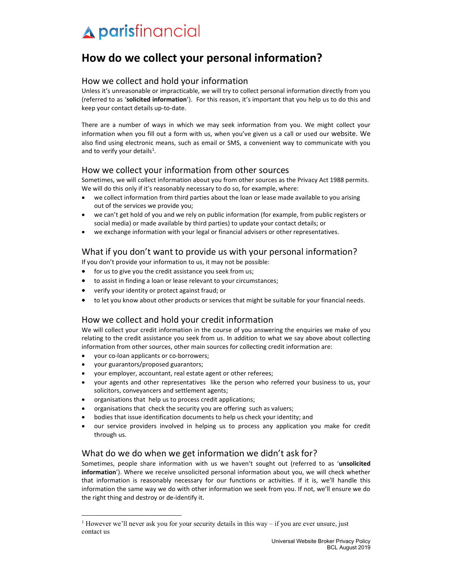# How do we collect your personal information?

## How we collect and hold your information

Unless it's unreasonable or impracticable, we will try to collect personal information directly from you (referred to as 'solicited information'). For this reason, it's important that you help us to do this and keep your contact details up-to-date.

There are a number of ways in which we may seek information from you. We might collect your information when you fill out a form with us, when you've given us a call or used our website. We also find using electronic means, such as email or SMS, a convenient way to communicate with you and to verify your details<sup>1</sup>.

## How we collect your information from other sources

Sometimes, we will collect information about you from other sources as the Privacy Act 1988 permits. We will do this only if it's reasonably necessary to do so, for example, where:

- we collect information from third parties about the loan or lease made available to you arising out of the services we provide you;
- we can't get hold of you and we rely on public information (for example, from public registers or social media) or made available by third parties) to update your contact details; or
- we exchange information with your legal or financial advisers or other representatives.

# What if you don't want to provide us with your personal information?

If you don't provide your information to us, it may not be possible:

- for us to give you the credit assistance you seek from us;
- to assist in finding a loan or lease relevant to your circumstances;
- verify your identity or protect against fraud; or
- to let you know about other products or services that might be suitable for your financial needs.

## How we collect and hold your credit information

We will collect your credit information in the course of you answering the enquiries we make of you relating to the credit assistance you seek from us. In addition to what we say above about collecting information from other sources, other main sources for collecting credit information are:

- your co-loan applicants or co-borrowers;
- your guarantors/proposed guarantors;
- your employer, accountant, real estate agent or other referees;
- your agents and other representatives like the person who referred your business to us, your solicitors, conveyancers and settlement agents;
- organisations that help us to process credit applications;
- organisations that check the security you are offering such as valuers;
- bodies that issue identification documents to help us check your identity; and
- our service providers involved in helping us to process any application you make for credit through us.

## What do we do when we get information we didn't ask for?

Sometimes, people share information with us we haven't sought out (referred to as 'unsolicited information'). Where we receive unsolicited personal information about you, we will check whether that information is reasonably necessary for our functions or activities. If it is, we'll handle this information the same way we do with other information we seek from you. If not, we'll ensure we do the right thing and destroy or de-identify it.

<sup>&</sup>lt;sup>1</sup> However we'll never ask you for your security details in this way  $-$  if you are ever unsure, just contact us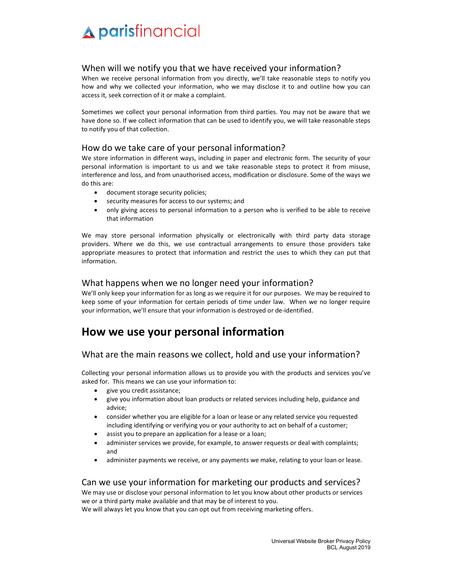## When will we notify you that we have received your information?

When we receive personal information from you directly, we'll take reasonable steps to notify you how and why we collected your information, who we may disclose it to and outline how you can access it, seek correction of it or make a complaint.

Sometimes we collect your personal information from third parties. You may not be aware that we have done so. If we collect information that can be used to identify you, we will take reasonable steps to notify you of that collection.

### How do we take care of your personal information?

We store information in different ways, including in paper and electronic form. The security of your personal information is important to us and we take reasonable steps to protect it from misuse, interference and loss, and from unauthorised access, modification or disclosure. Some of the ways we do this are:

- document storage security policies;
- security measures for access to our systems; and
- only giving access to personal information to a person who is verified to be able to receive that information

We may store personal information physically or electronically with third party data storage providers. Where we do this, we use contractual arrangements to ensure those providers take appropriate measures to protect that information and restrict the uses to which they can put that information.

## What happens when we no longer need your information?

We'll only keep your information for as long as we require it for our purposes. We may be required to keep some of your information for certain periods of time under law. When we no longer require your information, we'll ensure that your information is destroyed or de-identified.

# How we use your personal information

## What are the main reasons we collect, hold and use your information?

Collecting your personal information allows us to provide you with the products and services you've asked for. This means we can use your information to:

- give you credit assistance;
- give you information about loan products or related services including help, guidance and advice;
- consider whether you are eligible for a loan or lease or any related service you requested including identifying or verifying you or your authority to act on behalf of a customer;
- assist you to prepare an application for a lease or a loan;
- administer services we provide, for example, to answer requests or deal with complaints; and
- administer payments we receive, or any payments we make, relating to your loan or lease.

## Can we use your information for marketing our products and services?

We may use or disclose your personal information to let you know about other products or services we or a third party make available and that may be of interest to you.

We will always let you know that you can opt out from receiving marketing offers.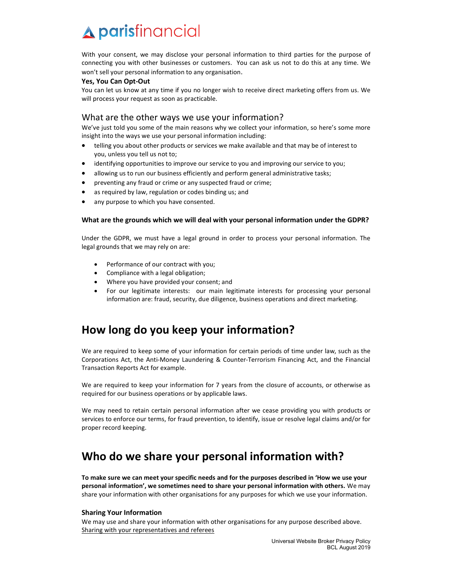With your consent, we may disclose your personal information to third parties for the purpose of connecting you with other businesses or customers. You can ask us not to do this at any time. We won't sell your personal information to any organisation.

#### Yes, You Can Opt-Out

You can let us know at any time if you no longer wish to receive direct marketing offers from us. We will process your request as soon as practicable.

## What are the other ways we use your information?

We've just told you some of the main reasons why we collect your information, so here's some more insight into the ways we use your personal information including:

- telling you about other products or services we make available and that may be of interest to you, unless you tell us not to;
- identifying opportunities to improve our service to you and improving our service to you;
- allowing us to run our business efficiently and perform general administrative tasks;
- preventing any fraud or crime or any suspected fraud or crime;
- as required by law, regulation or codes binding us; and
- any purpose to which you have consented.

#### What are the grounds which we will deal with your personal information under the GDPR?

Under the GDPR, we must have a legal ground in order to process your personal information. The legal grounds that we may rely on are:

- Performance of our contract with you;
- Compliance with a legal obligation;
- Where you have provided your consent; and
- For our legitimate interests: our main legitimate interests for processing your personal information are: fraud, security, due diligence, business operations and direct marketing.

# How long do you keep your information?

We are required to keep some of your information for certain periods of time under law, such as the Corporations Act, the Anti-Money Laundering & Counter-Terrorism Financing Act, and the Financial Transaction Reports Act for example.

We are required to keep your information for 7 years from the closure of accounts, or otherwise as required for our business operations or by applicable laws.

We may need to retain certain personal information after we cease providing you with products or services to enforce our terms, for fraud prevention, to identify, issue or resolve legal claims and/or for proper record keeping.

# Who do we share your personal information with?

To make sure we can meet your specific needs and for the purposes described in 'How we use your personal information', we sometimes need to share your personal information with others. We may share your information with other organisations for any purposes for which we use your information.

#### Sharing Your Information

We may use and share your information with other organisations for any purpose described above. Sharing with your representatives and referees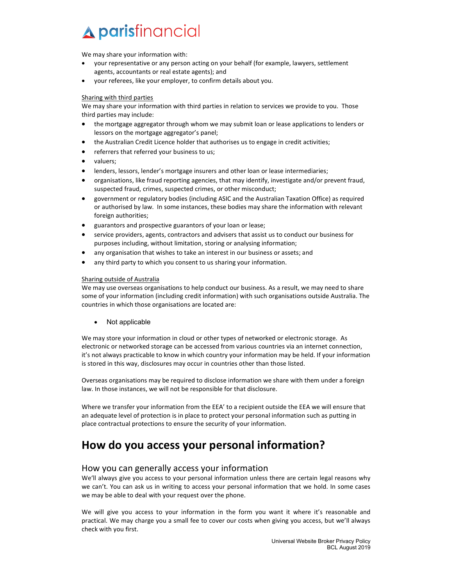We may share your information with:

- your representative or any person acting on your behalf (for example, lawyers, settlement agents, accountants or real estate agents); and
- your referees, like your employer, to confirm details about you.

#### Sharing with third parties

We may share your information with third parties in relation to services we provide to you. Those third parties may include:

- the mortgage aggregator through whom we may submit loan or lease applications to lenders or lessors on the mortgage aggregator's panel;
- the Australian Credit Licence holder that authorises us to engage in credit activities;
- referrers that referred your business to us;
- valuers;
- lenders, lessors, lender's mortgage insurers and other loan or lease intermediaries;
- organisations, like fraud reporting agencies, that may identify, investigate and/or prevent fraud, suspected fraud, crimes, suspected crimes, or other misconduct;
- government or regulatory bodies (including ASIC and the Australian Taxation Office) as required or authorised by law. In some instances, these bodies may share the information with relevant foreign authorities;
- guarantors and prospective guarantors of your loan or lease;
- service providers, agents, contractors and advisers that assist us to conduct our business for purposes including, without limitation, storing or analysing information;
- any organisation that wishes to take an interest in our business or assets; and
- any third party to which you consent to us sharing your information.

#### Sharing outside of Australia

We may use overseas organisations to help conduct our business. As a result, we may need to share some of your information (including credit information) with such organisations outside Australia. The countries in which those organisations are located are:

• Not applicable

We may store your information in cloud or other types of networked or electronic storage. As electronic or networked storage can be accessed from various countries via an internet connection, it's not always practicable to know in which country your information may be held. If your information is stored in this way, disclosures may occur in countries other than those listed.

Overseas organisations may be required to disclose information we share with them under a foreign law. In those instances, we will not be responsible for that disclosure.

Where we transfer your information from the EEA' to a recipient outside the EEA we will ensure that an adequate level of protection is in place to protect your personal information such as putting in place contractual protections to ensure the security of your information.

# How do you access your personal information?

### How you can generally access your information

We'll always give you access to your personal information unless there are certain legal reasons why we can't. You can ask us in writing to access your personal information that we hold. In some cases we may be able to deal with your request over the phone.

We will give you access to your information in the form you want it where it's reasonable and practical. We may charge you a small fee to cover our costs when giving you access, but we'll always check with you first.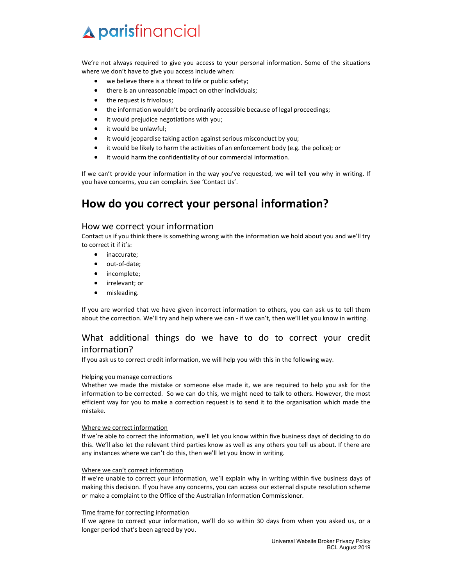We're not always required to give you access to your personal information. Some of the situations where we don't have to give you access include when:

- we believe there is a threat to life or public safety;
- there is an unreasonable impact on other individuals;
- the request is frivolous;
- the information wouldn't be ordinarily accessible because of legal proceedings;
- it would prejudice negotiations with you;
- it would be unlawful;
- it would jeopardise taking action against serious misconduct by you;
- it would be likely to harm the activities of an enforcement body (e.g. the police); or
- it would harm the confidentiality of our commercial information.

If we can't provide your information in the way you've requested, we will tell you why in writing. If you have concerns, you can complain. See 'Contact Us'.

# How do you correct your personal information?

### How we correct your information

Contact us if you think there is something wrong with the information we hold about you and we'll try to correct it if it's:

- inaccurate:
- out-of-date:
- incomplete;
- **•** irrelevant; or
- misleading.

If you are worried that we have given incorrect information to others, you can ask us to tell them about the correction. We'll try and help where we can - if we can't, then we'll let you know in writing.

## What additional things do we have to do to correct your credit information?

If you ask us to correct credit information, we will help you with this in the following way.

#### Helping you manage corrections

Whether we made the mistake or someone else made it, we are required to help you ask for the information to be corrected. So we can do this, we might need to talk to others. However, the most efficient way for you to make a correction request is to send it to the organisation which made the mistake.

#### Where we correct information

If we're able to correct the information, we'll let you know within five business days of deciding to do this. We'll also let the relevant third parties know as well as any others you tell us about. If there are any instances where we can't do this, then we'll let you know in writing.

#### Where we can't correct information

If we're unable to correct your information, we'll explain why in writing within five business days of making this decision. If you have any concerns, you can access our external dispute resolution scheme or make a complaint to the Office of the Australian Information Commissioner.

#### Time frame for correcting information

If we agree to correct your information, we'll do so within 30 days from when you asked us, or a longer period that's been agreed by you.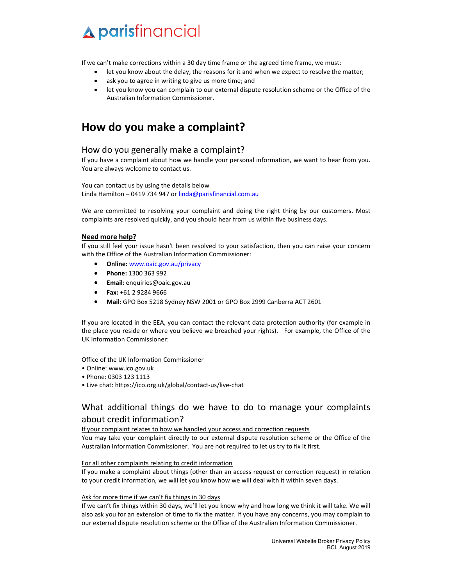If we can't make corrections within a 30 day time frame or the agreed time frame, we must:

- let you know about the delay, the reasons for it and when we expect to resolve the matter;
- ask you to agree in writing to give us more time; and
- let you know you can complain to our external dispute resolution scheme or the Office of the Australian Information Commissioner.

# How do you make a complaint?

## How do you generally make a complaint?

If you have a complaint about how we handle your personal information, we want to hear from you. You are always welcome to contact us.

You can contact us by using the details below Linda Hamilton – 0419 734 947 or linda@parisfinancial.com.au

We are committed to resolving your complaint and doing the right thing by our customers. Most complaints are resolved quickly, and you should hear from us within five business days.

#### Need more help?

If you still feel your issue hasn't been resolved to your satisfaction, then you can raise your concern with the Office of the Australian Information Commissioner:

- Online: www.oaic.gov.au/privacy
- Phone: 1300 363 992
- Email: enquiries@oaic.gov.au
- Fax: +61 2 9284 9666
- Mail: GPO Box 5218 Sydney NSW 2001 or GPO Box 2999 Canberra ACT 2601

If you are located in the EEA, you can contact the relevant data protection authority (for example in the place you reside or where you believe we breached your rights). For example, the Office of the UK Information Commissioner:

Office of the UK Information Commissioner

- Online: www.ico.gov.uk
- Phone: 0303 123 1113
- Live chat: https://ico.org.uk/global/contact-us/live-chat

# What additional things do we have to do to manage your complaints about credit information?

If your complaint relates to how we handled your access and correction requests You may take your complaint directly to our external dispute resolution scheme or the Office of the Australian Information Commissioner. You are not required to let us try to fix it first.

#### For all other complaints relating to credit information

If you make a complaint about things (other than an access request or correction request) in relation to your credit information, we will let you know how we will deal with it within seven days.

#### Ask for more time if we can't fix things in 30 days

If we can't fix things within 30 days, we'll let you know why and how long we think it will take. We will also ask you for an extension of time to fix the matter. If you have any concerns, you may complain to our external dispute resolution scheme or the Office of the Australian Information Commissioner.